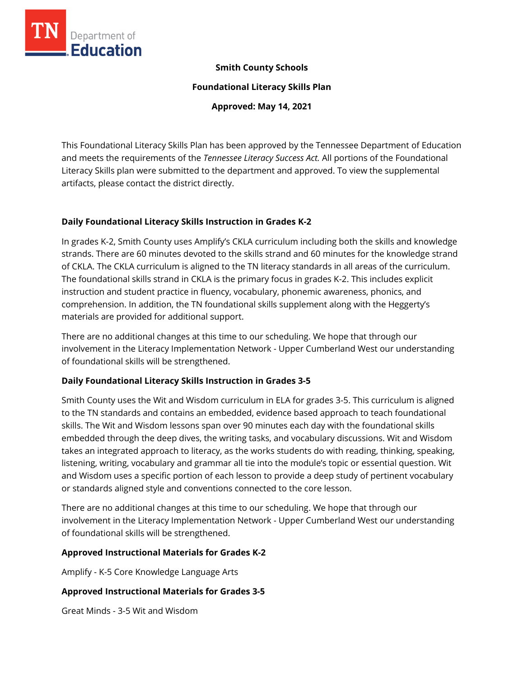

### **Smith County Schools**

**Foundational Literacy Skills Plan**

**Approved: May 14, 2021**

This Foundational Literacy Skills Plan has been approved by the Tennessee Department of Education and meets the requirements of the *Tennessee Literacy Success Act.* All portions of the Foundational Literacy Skills plan were submitted to the department and approved. To view the supplemental artifacts, please contact the district directly.

## **Daily Foundational Literacy Skills Instruction in Grades K-2**

In grades K-2, Smith County uses Amplify's CKLA curriculum including both the skills and knowledge strands. There are 60 minutes devoted to the skills strand and 60 minutes for the knowledge strand of CKLA. The CKLA curriculum is aligned to the TN literacy standards in all areas of the curriculum. The foundational skills strand in CKLA is the primary focus in grades K-2. This includes explicit instruction and student practice in fluency, vocabulary, phonemic awareness, phonics, and comprehension. In addition, the TN foundational skills supplement along with the Heggerty's materials are provided for additional support.

There are no additional changes at this time to our scheduling. We hope that through our involvement in the Literacy Implementation Network - Upper Cumberland West our understanding of foundational skills will be strengthened.

# **Daily Foundational Literacy Skills Instruction in Grades 3-5**

Smith County uses the Wit and Wisdom curriculum in ELA for grades 3-5. This curriculum is aligned to the TN standards and contains an embedded, evidence based approach to teach foundational skills. The Wit and Wisdom lessons span over 90 minutes each day with the foundational skills embedded through the deep dives, the writing tasks, and vocabulary discussions. Wit and Wisdom takes an integrated approach to literacy, as the works students do with reading, thinking, speaking, listening, writing, vocabulary and grammar all tie into the module's topic or essential question. Wit and Wisdom uses a specific portion of each lesson to provide a deep study of pertinent vocabulary or standards aligned style and conventions connected to the core lesson.

There are no additional changes at this time to our scheduling. We hope that through our involvement in the Literacy Implementation Network - Upper Cumberland West our understanding of foundational skills will be strengthened.

### **Approved Instructional Materials for Grades K-2**

Amplify - K-5 Core Knowledge Language Arts

# **Approved Instructional Materials for Grades 3-5**

Great Minds - 3-5 Wit and Wisdom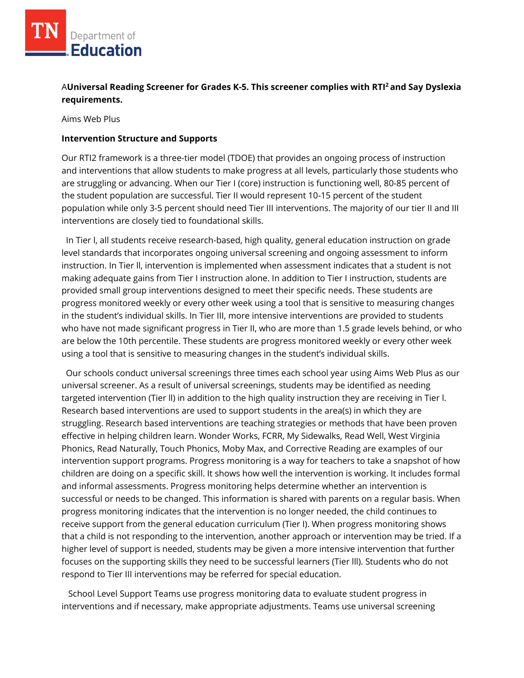# A**Universal Reading Screener for Grades K-5. This screener complies with RTI<sup>2</sup>and Say Dyslexia requirements.**

Aims Web Plus

#### **Intervention Structure and Supports**

Our RTI2 framework is a three-tier model (TDOE) that provides an ongoing process of instruction and interventions that allow students to make progress at all levels, particularly those students who are struggling or advancing. When our Tier I (core) instruction is functioning well, 80-85 percent of the student population are successful. Tier II would represent 10-15 percent of the student population while only 3-5 percent should need Tier III interventions. The majority of our tier II and III interventions are closely tied to foundational skills.

 In Tier l, all students receive research-based, high quality, general education instruction on grade level standards that incorporates ongoing universal screening and ongoing assessment to inform instruction. In Tier ll, intervention is implemented when assessment indicates that a student is not making adequate gains from Tier I instruction alone. In addition to Tier I instruction, students are provided small group interventions designed to meet their specific needs. These students are progress monitored weekly or every other week using a tool that is sensitive to measuring changes in the student's individual skills. In Tier III, more intensive interventions are provided to students who have not made significant progress in Tier II, who are more than 1.5 grade levels behind, or who are below the 10th percentile. These students are progress monitored weekly or every other week using a tool that is sensitive to measuring changes in the student's individual skills.

 Our schools conduct universal screenings three times each school year using Aims Web Plus as our universal screener. As a result of universal screenings, students may be identified as needing targeted intervention (Tier ll) in addition to the high quality instruction they are receiving in Tier l. Research based interventions are used to support students in the area(s) in which they are struggling. Research based interventions are teaching strategies or methods that have been proven effective in helping children learn. Wonder Works, FCRR, My Sidewalks, Read Well, West Virginia Phonics, Read Naturally, Touch Phonics, Moby Max, and Corrective Reading are examples of our intervention support programs. Progress monitoring is a way for teachers to take a snapshot of how children are doing on a specific skill. It shows how well the intervention is working. It includes formal and informal assessments. Progress monitoring helps determine whether an intervention is successful or needs to be changed. This information is shared with parents on a regular basis. When progress monitoring indicates that the intervention is no longer needed, the child continues to receive support from the general education curriculum (Tier I). When progress monitoring shows that a child is not responding to the intervention, another approach or intervention may be tried. If a higher level of support is needed, students may be given a more intensive intervention that further focuses on the supporting skills they need to be successful learners (Tier lll). Students who do not respond to Tier III interventions may be referred for special education.

 School Level Support Teams use progress monitoring data to evaluate student progress in interventions and if necessary, make appropriate adjustments. Teams use universal screening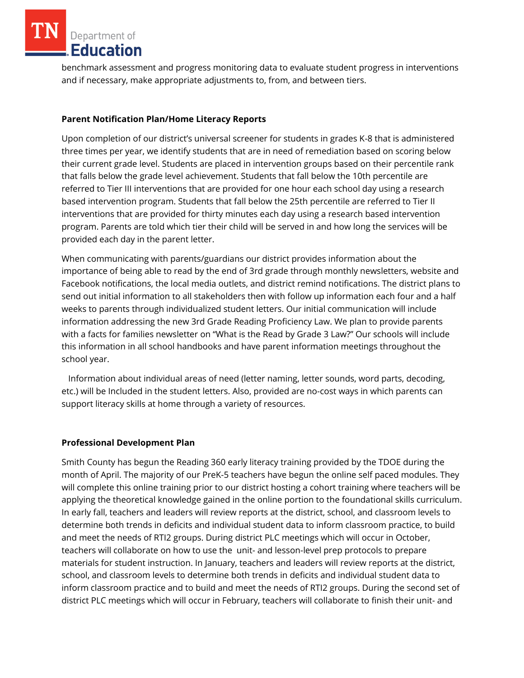Department of Education

benchmark assessment and progress monitoring data to evaluate student progress in interventions and if necessary, make appropriate adjustments to, from, and between tiers.

### **Parent Notification Plan/Home Literacy Reports**

Upon completion of our district's universal screener for students in grades K-8 that is administered three times per year, we identify students that are in need of remediation based on scoring below their current grade level. Students are placed in intervention groups based on their percentile rank that falls below the grade level achievement. Students that fall below the 10th percentile are referred to Tier III interventions that are provided for one hour each school day using a research based intervention program. Students that fall below the 25th percentile are referred to Tier II interventions that are provided for thirty minutes each day using a research based intervention program. Parents are told which tier their child will be served in and how long the services will be provided each day in the parent letter.

When communicating with parents/guardians our district provides information about the importance of being able to read by the end of 3rd grade through monthly newsletters, website and Facebook notifications, the local media outlets, and district remind notifications. The district plans to send out initial information to all stakeholders then with follow up information each four and a half weeks to parents through individualized student letters. Our initial communication will include information addressing the new 3rd Grade Reading Proficiency Law. We plan to provide parents with a facts for families newsletter on "What is the Read by Grade 3 Law?" Our schools will include this information in all school handbooks and have parent information meetings throughout the school year.

 Information about individual areas of need (letter naming, letter sounds, word parts, decoding, etc.) will be Included in the student letters. Also, provided are no-cost ways in which parents can support literacy skills at home through a variety of resources.

### **Professional Development Plan**

Smith County has begun the Reading 360 early literacy training provided by the TDOE during the month of April. The majority of our PreK-5 teachers have begun the online self paced modules. They will complete this online training prior to our district hosting a cohort training where teachers will be applying the theoretical knowledge gained in the online portion to the foundational skills curriculum. In early fall, teachers and leaders will review reports at the district, school, and classroom levels to determine both trends in deficits and individual student data to inform classroom practice, to build and meet the needs of RTI2 groups. During district PLC meetings which will occur in October, teachers will collaborate on how to use the unit- and lesson-level prep protocols to prepare materials for student instruction. In January, teachers and leaders will review reports at the district, school, and classroom levels to determine both trends in deficits and individual student data to inform classroom practice and to build and meet the needs of RTI2 groups. During the second set of district PLC meetings which will occur in February, teachers will collaborate to finish their unit- and